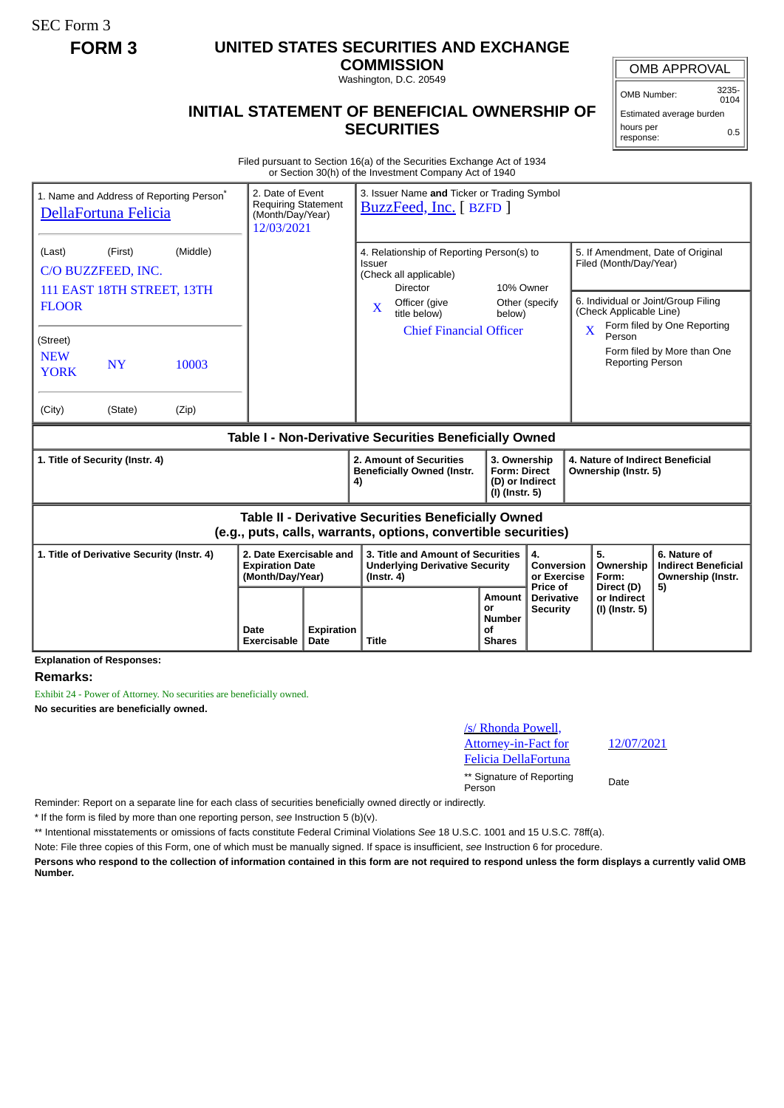SEC Form 3

## **FORM 3 UNITED STATES SECURITIES AND EXCHANGE**

**COMMISSION** Washington, D.C. 20549

## **INITIAL STATEMENT OF BENEFICIAL OWNERSHIP OF SECURITIES**

OMB APPROVAL

OMB Number: 3235-

Estimated average burden hours per response: 0.5

Filed pursuant to Section 16(a) of the Securities Exchange Act of 1934 or Section 30(h) of the Investment Company Act of 1940

| 1. Name and Address of Reporting Person <sup>®</sup><br>DellaFortuna Felicia                                                 | 2. Date of Event<br><b>Requiring Statement</b><br>(Month/Day/Year)<br>12/03/2021 |                | 3. Issuer Name and Ticker or Trading Symbol<br>BuzzFeed, Inc. [ BZFD ] |                                                                                                                                                   |                                                                                                                                                |                                       |                                               |                                                                                                                               |                         |                                        |                                                                 |
|------------------------------------------------------------------------------------------------------------------------------|----------------------------------------------------------------------------------|----------------|------------------------------------------------------------------------|---------------------------------------------------------------------------------------------------------------------------------------------------|------------------------------------------------------------------------------------------------------------------------------------------------|---------------------------------------|-----------------------------------------------|-------------------------------------------------------------------------------------------------------------------------------|-------------------------|----------------------------------------|-----------------------------------------------------------------|
| (First)<br>(Middle)<br>(Last)<br>C/O BUZZFEED, INC.<br>111 EAST 18TH STREET, 13TH<br><b>FLOOR</b>                            |                                                                                  |                |                                                                        | 4. Relationship of Reporting Person(s) to<br>Issuer<br>(Check all applicable)<br><b>Director</b><br>Officer (give<br>$\mathbf{X}$<br>title below) |                                                                                                                                                | 10% Owner<br>Other (specify<br>below) |                                               | 5. If Amendment, Date of Original<br>Filed (Month/Day/Year)<br>6. Individual or Joint/Group Filing<br>(Check Applicable Line) |                         |                                        |                                                                 |
| (Street)<br><b>NEW</b><br><b>YORK</b><br>(City)                                                                              | <b>NY</b><br>(State)                                                             | 10003<br>(Zip) |                                                                        |                                                                                                                                                   |                                                                                                                                                | <b>Chief Financial Officer</b>        |                                               |                                                                                                                               | $\overline{\mathbf{X}}$ | Person<br><b>Reporting Person</b>      | Form filed by One Reporting<br>Form filed by More than One      |
| Table I - Non-Derivative Securities Beneficially Owned                                                                       |                                                                                  |                |                                                                        |                                                                                                                                                   |                                                                                                                                                |                                       |                                               |                                                                                                                               |                         |                                        |                                                                 |
| 1. Title of Security (Instr. 4)                                                                                              |                                                                                  |                |                                                                        |                                                                                                                                                   | 2. Amount of Securities<br>3. Ownership<br><b>Beneficially Owned (Instr.</b><br><b>Form: Direct</b><br>(D) or Indirect<br>4)<br>(I) (Instr. 5) |                                       |                                               | 4. Nature of Indirect Beneficial<br>Ownership (Instr. 5)                                                                      |                         |                                        |                                                                 |
| <b>Table II - Derivative Securities Beneficially Owned</b><br>(e.g., puts, calls, warrants, options, convertible securities) |                                                                                  |                |                                                                        |                                                                                                                                                   |                                                                                                                                                |                                       |                                               |                                                                                                                               |                         |                                        |                                                                 |
| 1. Title of Derivative Security (Instr. 4)                                                                                   |                                                                                  |                | 2. Date Exercisable and<br><b>Expiration Date</b><br>(Month/Day/Year)  |                                                                                                                                                   | 3. Title and Amount of Securities<br><b>Underlying Derivative Security</b><br>$($ lnstr. 4 $)$                                                 |                                       |                                               | 4.<br><b>Conversion</b><br>or Exercise<br>Price of                                                                            |                         | 5.<br>Ownership<br>Form:<br>Direct (D) | 6. Nature of<br><b>Indirect Beneficial</b><br>Ownership (Instr. |
|                                                                                                                              |                                                                                  |                | Date<br>Exercisable                                                    | <b>Expiration</b><br>Date                                                                                                                         | <b>Title</b>                                                                                                                                   |                                       | Amount<br>or<br>Number<br>Οf<br><b>Shares</b> | <b>Derivative</b><br><b>Security</b>                                                                                          |                         | or Indirect<br>(I) (Instr. 5)          | 5)                                                              |

**Explanation of Responses:**

## **Remarks:**

Exhibit 24 - Power of Attorney. No securities are beneficially owned. **No securities are beneficially owned.**

12/07/2021

\*\* Signature of Reporting Person Date

Reminder: Report on a separate line for each class of securities beneficially owned directly or indirectly.

\* If the form is filed by more than one reporting person, *see* Instruction 5 (b)(v).

\*\* Intentional misstatements or omissions of facts constitute Federal Criminal Violations *See* 18 U.S.C. 1001 and 15 U.S.C. 78ff(a).

Note: File three copies of this Form, one of which must be manually signed. If space is insufficient, *see* Instruction 6 for procedure.

**Persons who respond to the collection of information contained in this form are not required to respond unless the form displays a currently valid OMB Number.**

 $0104$